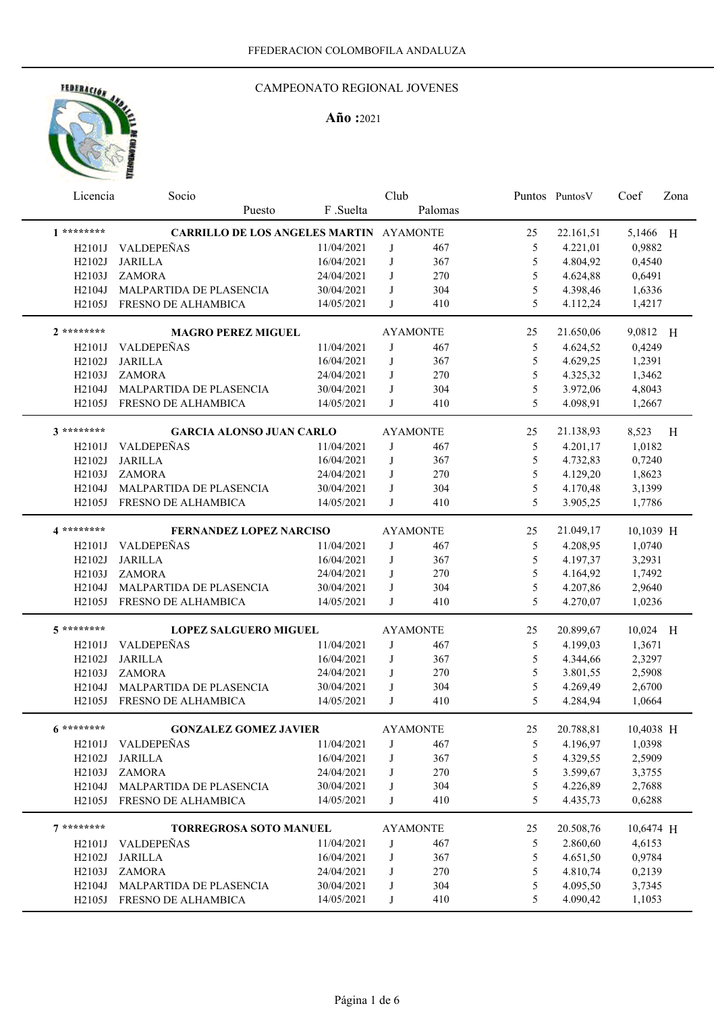

### CAMPEONATO REGIONAL JOVENES

| Licencia                         | Socio                                          |            | Club |                 |    | Puntos Puntos V | Coef      | Zona |
|----------------------------------|------------------------------------------------|------------|------|-----------------|----|-----------------|-----------|------|
|                                  | Puesto                                         | F.Suelta   |      | Palomas         |    |                 |           |      |
| $1*********$                     | <b>CARRILLO DE LOS ANGELES MARTIN AYAMONTE</b> |            |      |                 | 25 | 22.161,51       | 5,1466    | H    |
| H <sub>2</sub> 10 <sub>1</sub> J | <b>VALDEPEÑAS</b>                              | 11/04/2021 | J    | 467             | 5  | 4.221,01        | 0,9882    |      |
| H2102J                           | <b>JARILLA</b>                                 | 16/04/2021 | J    | 367             | 5  | 4.804,92        | 0,4540    |      |
| H2103J                           | <b>ZAMORA</b>                                  | 24/04/2021 | J    | 270             | 5  | 4.624,88        | 0,6491    |      |
| H2104J                           | MALPARTIDA DE PLASENCIA                        | 30/04/2021 | J    | 304             | 5  | 4.398,46        | 1,6336    |      |
| H2105J                           | FRESNO DE ALHAMBICA                            | 14/05/2021 | J    | 410             | 5  | 4.112,24        | 1,4217    |      |
| $2********$                      | <b>MAGRO PEREZ MIGUEL</b>                      |            |      | <b>AYAMONTE</b> | 25 | 21.650,06       | 9,0812 H  |      |
| H <sub>2101J</sub>               | <b>VALDEPEÑAS</b>                              | 11/04/2021 | J    | 467             | 5  | 4.624,52        | 0,4249    |      |
| H2102J                           | <b>JARILLA</b>                                 | 16/04/2021 | J    | 367             | 5  | 4.629,25        | 1,2391    |      |
| H2103J                           | <b>ZAMORA</b>                                  | 24/04/2021 | J    | 270             | 5  | 4.325,32        | 1,3462    |      |
| H2104J                           | MALPARTIDA DE PLASENCIA                        | 30/04/2021 | J    | 304             | 5  | 3.972,06        | 4,8043    |      |
| H2105J                           | FRESNO DE ALHAMBICA                            | 14/05/2021 | J    | 410             | 5  | 4.098,91        | 1,2667    |      |
| 3 ********                       | <b>GARCIA ALONSO JUAN CARLO</b>                |            |      | <b>AYAMONTE</b> | 25 | 21.138,93       | 8,523     | H    |
| H2101J                           | <b>VALDEPEÑAS</b>                              | 11/04/2021 | J    | 467             | 5  | 4.201,17        | 1,0182    |      |
| H2102J                           | <b>JARILLA</b>                                 | 16/04/2021 | J    | 367             | 5  | 4.732,83        | 0,7240    |      |
| H2103J                           | <b>ZAMORA</b>                                  | 24/04/2021 | J    | 270             | 5  | 4.129,20        | 1,8623    |      |
| H2104J                           | MALPARTIDA DE PLASENCIA                        | 30/04/2021 | J    | 304             | 5  | 4.170,48        | 3,1399    |      |
| H2105J                           | FRESNO DE ALHAMBICA                            | 14/05/2021 | J    | 410             | 5  | 3.905,25        | 1,7786    |      |
| 4 *********                      | <b>FERNANDEZ LOPEZ NARCISO</b>                 |            |      | <b>AYAMONTE</b> | 25 | 21.049,17       | 10,1039 H |      |
| H2101J                           | VALDEPEÑAS                                     | 11/04/2021 | J    | 467             | 5  | 4.208,95        | 1,0740    |      |
| H2102J                           | <b>JARILLA</b>                                 | 16/04/2021 | J    | 367             | 5  | 4.197,37        | 3,2931    |      |
| H2103J                           | <b>ZAMORA</b>                                  | 24/04/2021 | J    | 270             | 5  | 4.164,92        | 1,7492    |      |
| H2104J                           | MALPARTIDA DE PLASENCIA                        | 30/04/2021 | J    | 304             | 5  | 4.207,86        | 2,9640    |      |
|                                  |                                                |            | J    |                 | 5  |                 |           |      |
| H2105J                           | FRESNO DE ALHAMBICA                            | 14/05/2021 |      | 410             |    | 4.270,07        | 1,0236    |      |
| 5 ********                       | <b>LOPEZ SALGUERO MIGUEL</b>                   |            |      | <b>AYAMONTE</b> | 25 | 20.899,67       | 10,024 H  |      |
| H2101J                           | VALDEPEÑAS                                     | 11/04/2021 | J    | 467             | 5  | 4.199,03        | 1,3671    |      |
| H2102J                           | <b>JARILLA</b>                                 | 16/04/2021 | J    | 367             | 5  | 4.344,66        | 2,3297    |      |
| H2103J                           | <b>ZAMORA</b>                                  | 24/04/2021 | J    | 270             | 5  | 3.801,55        | 2,5908    |      |
| H2104J                           | MALPARTIDA DE PLASENCIA                        | 30/04/2021 | J    | 304             | 5  | 4.269,49        | 2,6700    |      |
| H <sub>2105J</sub>               | FRESNO DE ALHAMBICA                            | 14/05/2021 | J    | 410             | 5  | 4.284,94        | 1,0664    |      |
| ********<br>6                    | <b>GONZALEZ GOMEZ JAVIER</b>                   |            |      | <b>AYAMONTE</b> | 25 | 20.788,81       | 10,4038 H |      |
| H2101J                           | <b>VALDEPEÑAS</b>                              | 11/04/2021 | J    | 467             | 5  | 4.196,97        | 1,0398    |      |
| H2102J                           | <b>JARILLA</b>                                 | 16/04/2021 | J    | 367             | 5  | 4.329,55        | 2,5909    |      |
| H2103J                           | <b>ZAMORA</b>                                  | 24/04/2021 | J    | 270             | 5  | 3.599,67        | 3,3755    |      |
| H2104J                           | MALPARTIDA DE PLASENCIA                        | 30/04/2021 | J    | 304             | 5  | 4.226,89        | 2,7688    |      |
| H2105J                           | FRESNO DE ALHAMBICA                            | 14/05/2021 | J    | 410             | 5  | 4.435,73        | 0,6288    |      |
| $7*******$                       | <b>TORREGROSA SOTO MANUEL</b>                  |            |      | <b>AYAMONTE</b> | 25 | 20.508,76       | 10,6474 H |      |
| H <sub>2</sub> 101J              | VALDEPEÑAS                                     | 11/04/2021 | J    | 467             | 5  | 2.860,60        | 4,6153    |      |
| H2102J                           | <b>JARILLA</b>                                 | 16/04/2021 | J    | 367             | 5  | 4.651,50        | 0,9784    |      |
| H2103J                           | <b>ZAMORA</b>                                  | 24/04/2021 | J    | 270             | 5  | 4.810,74        | 0,2139    |      |
| H2104J                           | MALPARTIDA DE PLASENCIA                        | 30/04/2021 | J    | 304             | 5  | 4.095,50        | 3,7345    |      |
|                                  | H2105J FRESNO DE ALHAMBICA                     |            |      | 410             | 5  | 4.090,42        |           |      |
|                                  |                                                | 14/05/2021 | J    |                 |    |                 | 1,1053    |      |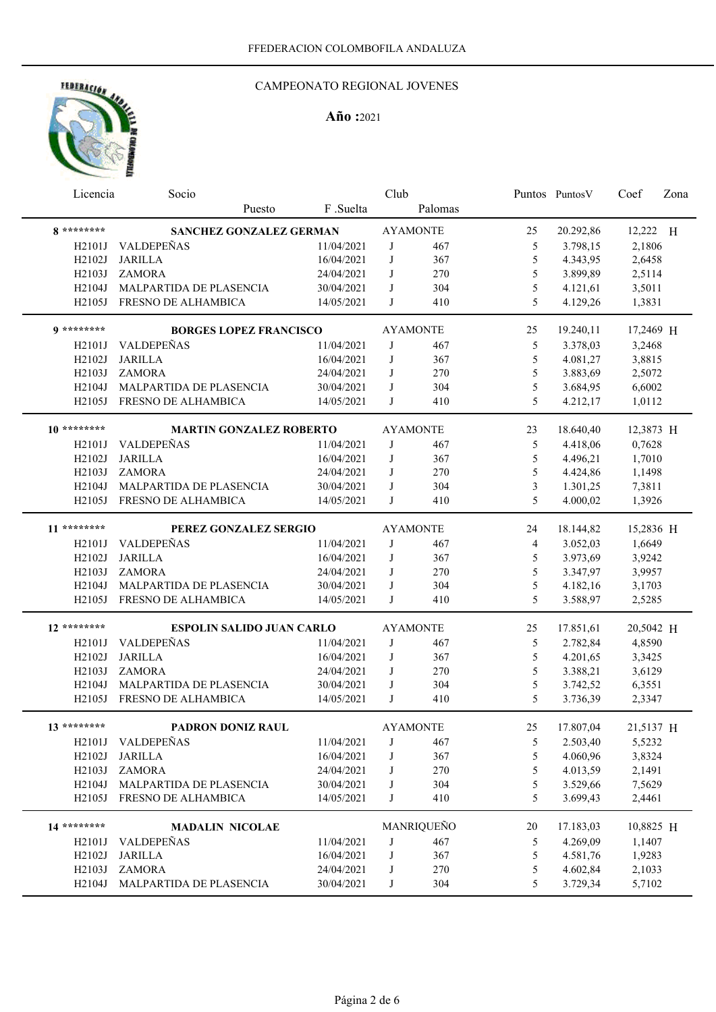### CAMPEONATO REGIONAL JOVENES

| Licencia            | Socio                            |            | Club |                 |               | Puntos Puntos V | Coef      | Zona |
|---------------------|----------------------------------|------------|------|-----------------|---------------|-----------------|-----------|------|
|                     | Puesto                           | F .Suelta  |      | Palomas         |               |                 |           |      |
| 8 *********         | SANCHEZ GONZALEZ GERMAN          |            |      | <b>AYAMONTE</b> | 25            | 20.292,86       | 12,222 H  |      |
| H <sub>2101J</sub>  | VALDEPEÑAS                       | 11/04/2021 | J    | 467             | 5             | 3.798,15        | 2,1806    |      |
| H2102J              | <b>JARILLA</b>                   | 16/04/2021 | J    | 367             | 5             | 4.343,95        | 2,6458    |      |
| H2103J              | <b>ZAMORA</b>                    | 24/04/2021 | J    | 270             | 5             | 3.899,89        | 2,5114    |      |
| H2104J              | MALPARTIDA DE PLASENCIA          | 30/04/2021 | J    | 304             | 5             | 4.121,61        | 3,5011    |      |
| H2105J              | FRESNO DE ALHAMBICA              | 14/05/2021 | J    | 410             | 5             | 4.129,26        | 1,3831    |      |
| $9*******$          | <b>BORGES LOPEZ FRANCISCO</b>    |            |      | <b>AYAMONTE</b> | 25            | 19.240,11       | 17,2469 H |      |
| H2101J              | VALDEPEÑAS                       | 11/04/2021 | J    | 467             | 5             | 3.378,03        | 3,2468    |      |
| H2102J              | <b>JARILLA</b>                   | 16/04/2021 | J    | 367             | 5             | 4.081,27        | 3,8815    |      |
| H2103J              | <b>ZAMORA</b>                    | 24/04/2021 | J    | 270             | 5             | 3.883,69        | 2,5072    |      |
| H <sub>2</sub> 104J | MALPARTIDA DE PLASENCIA          | 30/04/2021 | J    | 304             | $\mathfrak s$ | 3.684,95        | 6,6002    |      |
|                     | H2105J FRESNO DE ALHAMBICA       | 14/05/2021 | J    | 410             | 5             | 4.212,17        | 1,0112    |      |
| $10*******$         | <b>MARTIN GONZALEZ ROBERTO</b>   |            |      | <b>AYAMONTE</b> | 23            | 18.640,40       | 12,3873 H |      |
| H2101J              | VALDEPEÑAS                       | 11/04/2021 | J    | 467             | 5             | 4.418,06        | 0,7628    |      |
| H2102J              | <b>JARILLA</b>                   | 16/04/2021 | J    | 367             | 5             | 4.496,21        | 1,7010    |      |
| H2103J              | <b>ZAMORA</b>                    | 24/04/2021 | J    | 270             | 5             | 4.424,86        | 1,1498    |      |
| H2104J              | MALPARTIDA DE PLASENCIA          | 30/04/2021 | J    | 304             | 3             | 1.301,25        | 7,3811    |      |
| H2105J              | FRESNO DE ALHAMBICA              | 14/05/2021 | J    | 410             | 5             | 4.000,02        | 1,3926    |      |
| 11 ********         | PEREZ GONZALEZ SERGIO            |            |      | <b>AYAMONTE</b> | 24            | 18.144,82       | 15,2836 H |      |
| H2101J              | VALDEPEÑAS                       | 11/04/2021 | J    | 467             | 4             | 3.052,03        | 1,6649    |      |
| H2102J              | <b>JARILLA</b>                   | 16/04/2021 | J    | 367             | 5             | 3.973,69        | 3,9242    |      |
| H2103J              | <b>ZAMORA</b>                    | 24/04/2021 | J    | 270             | 5             | 3.347,97        | 3,9957    |      |
| H2104J              | MALPARTIDA DE PLASENCIA          | 30/04/2021 | J    | 304             | 5             | 4.182,16        | 3,1703    |      |
|                     | H2105J FRESNO DE ALHAMBICA       | 14/05/2021 | J    | 410             | 5             | 3.588,97        | 2,5285    |      |
| 12 ********         | <b>ESPOLIN SALIDO JUAN CARLO</b> |            |      | <b>AYAMONTE</b> | 25            | 17.851,61       | 20,5042 H |      |
| H <sub>2</sub> 101J | VALDEPEÑAS                       | 11/04/2021 | J    | 467             | 5             | 2.782,84        | 4,8590    |      |
| H2102J              | <b>JARILLA</b>                   | 16/04/2021 | J    | 367             | 5             | 4.201,65        | 3,3425    |      |
| H2103J              | <b>ZAMORA</b>                    | 24/04/2021 | J    | 270             | 5             | 3.388,21        | 3,6129    |      |
| H2104J              | MALPARTIDA DE PLASENCIA          | 30/04/2021 | J    | 304             | 5             | 3.742,52        | 6,3551    |      |
| H2105J              | FRESNO DE ALHAMBICA              | 14/05/2021 | J    | 410             | 5             | 3.736,39        | 2,3347    |      |
| $13*******$         | PADRON DONIZ RAUL                |            |      | <b>AYAMONTE</b> | $25\,$        | 17.807,04       | 21,5137 H |      |
|                     | H2101J VALDEPEÑAS                | 11/04/2021 | J    | 467             | 5             | 2.503,40        | 5,5232    |      |
| H2102J              | <b>JARILLA</b>                   | 16/04/2021 | J    | 367             | $\mathfrak s$ | 4.060,96        | 3,8324    |      |
|                     | H2103J ZAMORA                    | 24/04/2021 | J    | 270             | 5             | 4.013,59        | 2,1491    |      |
|                     | H2104J MALPARTIDA DE PLASENCIA   | 30/04/2021 | J    | 304             | $\mathfrak s$ | 3.529,66        | 7,5629    |      |
|                     | H2105J FRESNO DE ALHAMBICA       | 14/05/2021 | J    | 410             | 5             | 3.699,43        | 2,4461    |      |
| 14 ********         | <b>MADALIN NICOLAE</b>           |            |      | MANRIQUEÑO      | 20            | 17.183,03       | 10,8825 H |      |
|                     | H2101J VALDEPEÑAS                | 11/04/2021 | J    | 467             | $\mathfrak s$ | 4.269,09        | 1,1407    |      |
| H2102J              | <b>JARILLA</b>                   | 16/04/2021 | J    | 367             | $\mathfrak s$ | 4.581,76        | 1,9283    |      |
| H2103J              | ZAMORA                           | 24/04/2021 | J    | 270             | 5             | 4.602,84        | 2,1033    |      |
| H2104J              | MALPARTIDA DE PLASENCIA          | 30/04/2021 | J    | 304             | 5             | 3.729,34        | 5,7102    |      |
|                     |                                  |            |      |                 |               |                 |           |      |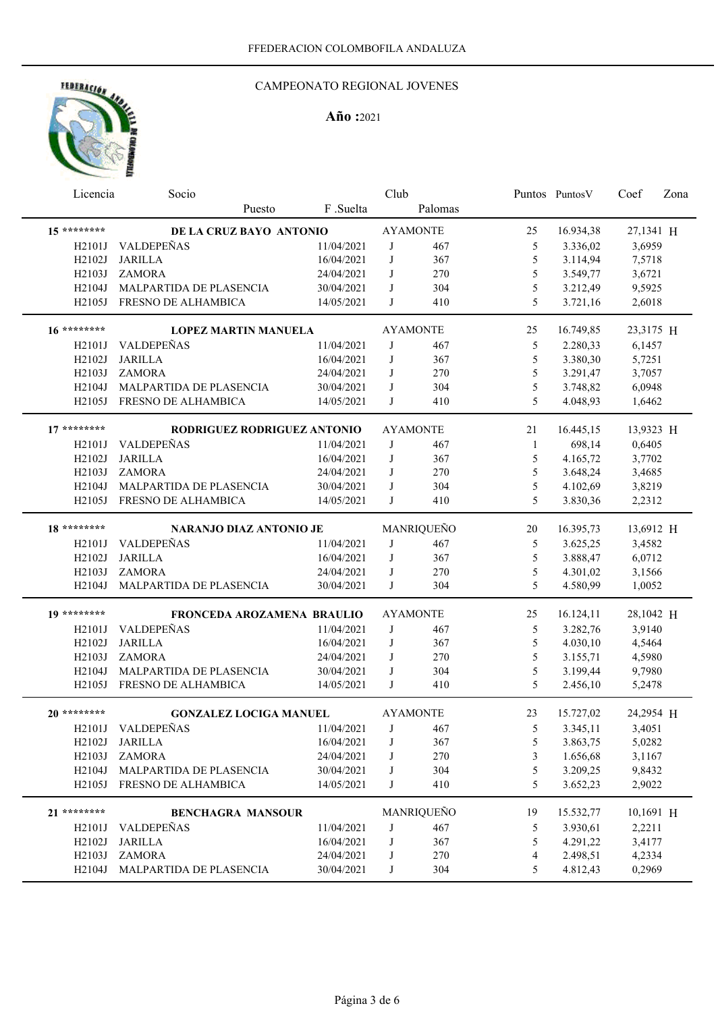## HERERACION AND

### CAMPEONATO REGIONAL JOVENES

| Licencia                         | Socio                          |            | Club |                 |                | Puntos Puntos V      | Coef             | Zona |
|----------------------------------|--------------------------------|------------|------|-----------------|----------------|----------------------|------------------|------|
|                                  | Puesto                         | F .Suelta  |      | Palomas         |                |                      |                  |      |
| 15 ********                      | DE LA CRUZ BAYO ANTONIO        |            |      | <b>AYAMONTE</b> | 25             | 16.934,38            | 27,1341 H        |      |
| H <sub>2101J</sub>               | VALDEPEÑAS                     | 11/04/2021 | J    | 467             | 5              | 3.336,02             | 3,6959           |      |
| H2102J                           | <b>JARILLA</b>                 | 16/04/2021 | J    | 367             | 5              | 3.114,94             | 7,5718           |      |
| H2103J                           | <b>ZAMORA</b>                  | 24/04/2021 | J    | 270             | 5              | 3.549,77             | 3,6721           |      |
| H <sub>2104J</sub>               | MALPARTIDA DE PLASENCIA        | 30/04/2021 | J    | 304             | 5              | 3.212,49             | 9,5925           |      |
| H2105J                           | FRESNO DE ALHAMBICA            | 14/05/2021 | J    | 410             | 5              | 3.721,16             | 2,6018           |      |
| 16 ********                      | <b>LOPEZ MARTIN MANUELA</b>    |            |      | <b>AYAMONTE</b> | 25             | 16.749,85            | 23,3175 H        |      |
| H2101J                           | VALDEPEÑAS                     | 11/04/2021 | J    | 467             | 5              | 2.280,33             | 6,1457           |      |
| H2102J                           | <b>JARILLA</b>                 | 16/04/2021 | J    | 367             | 5              | 3.380,30             | 5,7251           |      |
| H2103J                           | <b>ZAMORA</b>                  | 24/04/2021 | J    | 270             | 5              | 3.291,47             | 3,7057           |      |
| H2104J                           | MALPARTIDA DE PLASENCIA        | 30/04/2021 | J    | 304             | $\mathfrak s$  | 3.748,82             | 6,0948           |      |
| H2105J                           | FRESNO DE ALHAMBICA            | 14/05/2021 | J    | 410             | 5              | 4.048,93             | 1,6462           |      |
| $17******$                       | RODRIGUEZ RODRIGUEZ ANTONIO    |            |      | <b>AYAMONTE</b> | 21             | 16.445,15            | 13,9323 H        |      |
| H2101J                           | VALDEPEÑAS                     | 11/04/2021 | J    | 467             | $\mathbf{1}$   | 698,14               | 0,6405           |      |
| H2102J                           | <b>JARILLA</b>                 | 16/04/2021 | J    | 367             | 5              | 4.165,72             | 3,7702           |      |
| H2103J                           | <b>ZAMORA</b>                  | 24/04/2021 | J    | 270             | 5              | 3.648,24             | 3,4685           |      |
| H <sub>2104J</sub>               | MALPARTIDA DE PLASENCIA        | 30/04/2021 | J    | 304             | 5              | 4.102,69             | 3,8219           |      |
| H2105J                           | FRESNO DE ALHAMBICA            | 14/05/2021 | J    | 410             | 5              | 3.830,36             | 2,2312           |      |
| 18 ********                      | <b>NARANJO DIAZ ANTONIO JE</b> |            |      | MANRIQUEÑO      | 20             | 16.395,73            | 13,6912 H        |      |
| H2101J                           | <b>VALDEPEÑAS</b>              | 11/04/2021 | J    | 467             | 5              | 3.625,25             | 3,4582           |      |
| H2102J                           | <b>JARILLA</b>                 | 16/04/2021 | J    | 367             | 5              | 3.888,47             | 6,0712           |      |
| H2103J                           | <b>ZAMORA</b>                  | 24/04/2021 | J    | 270             | 5              | 4.301,02             | 3,1566           |      |
| H2104J                           | MALPARTIDA DE PLASENCIA        | 30/04/2021 | J    | 304             | 5              | 4.580,99             | 1,0052           |      |
| 19 ********                      | FRONCEDA AROZAMENA BRAULIO     |            |      | <b>AYAMONTE</b> | 25             | 16.124,11            | 28,1042 H        |      |
| H2101J                           | VALDEPEÑAS                     | 11/04/2021 | J    | 467             | 5              | 3.282,76             | 3,9140           |      |
| H2102J                           | <b>JARILLA</b>                 | 16/04/2021 | J    | 367             | 5              | 4.030,10             | 4,5464           |      |
| H2103J                           | <b>ZAMORA</b>                  | 24/04/2021 | J    |                 | 5              |                      |                  |      |
| H <sub>2</sub> 104J              | MALPARTIDA DE PLASENCIA        | 30/04/2021 | J    | 270<br>304      | 5              | 3.155,71<br>3.199,44 | 4,5980<br>9,7980 |      |
| H2105J                           | FRESNO DE ALHAMBICA            | 14/05/2021 | J    | 410             | 5              | 2.456,10             | 5,2478           |      |
|                                  |                                |            |      |                 |                |                      |                  |      |
| $20******$                       | <b>GONZALEZ LOCIGA MANUEL</b>  |            |      | <b>AYAMONTE</b> | 23             | 15.727,02            | 24,2954 H        |      |
| H <sub>2</sub> 10 <sub>1</sub> J | VALDEPEÑAS                     | 11/04/2021 | J    | 467             | 5              | 3.345,11             | 3,4051           |      |
| H2102J                           | <b>JARILLA</b>                 | 16/04/2021 | J    | 367             | 5              | 3.863,75             | 5,0282           |      |
| H2103J                           | <b>ZAMORA</b>                  | 24/04/2021 | J    | 270             | $\mathfrak{Z}$ | 1.656,68             | 3,1167           |      |
| H2104J                           | MALPARTIDA DE PLASENCIA        | 30/04/2021 | J    | 304             | $\mathfrak s$  | 3.209,25             | 9,8432           |      |
| H2105J                           | FRESNO DE ALHAMBICA            | 14/05/2021 | J    | 410             | 5              | 3.652,23             | 2,9022           |      |
| 21 ********                      | <b>BENCHAGRA MANSOUR</b>       |            |      | MANRIQUEÑO      | 19             | 15.532,77            | 10,1691 H        |      |
| H2101J                           | <b>VALDEPEÑAS</b>              | 11/04/2021 | J    | 467             | 5              | 3.930,61             | 2,2211           |      |
| H2102J                           | <b>JARILLA</b>                 | 16/04/2021 | J    | 367             | $\mathfrak s$  | 4.291,22             | 3,4177           |      |
| H2103J                           | <b>ZAMORA</b>                  | 24/04/2021 | J    | 270             | 4              | 2.498,51             | 4,2334           |      |
| H2104J                           | MALPARTIDA DE PLASENCIA        | 30/04/2021 | J    | 304             | 5              | 4.812,43             | 0,2969           |      |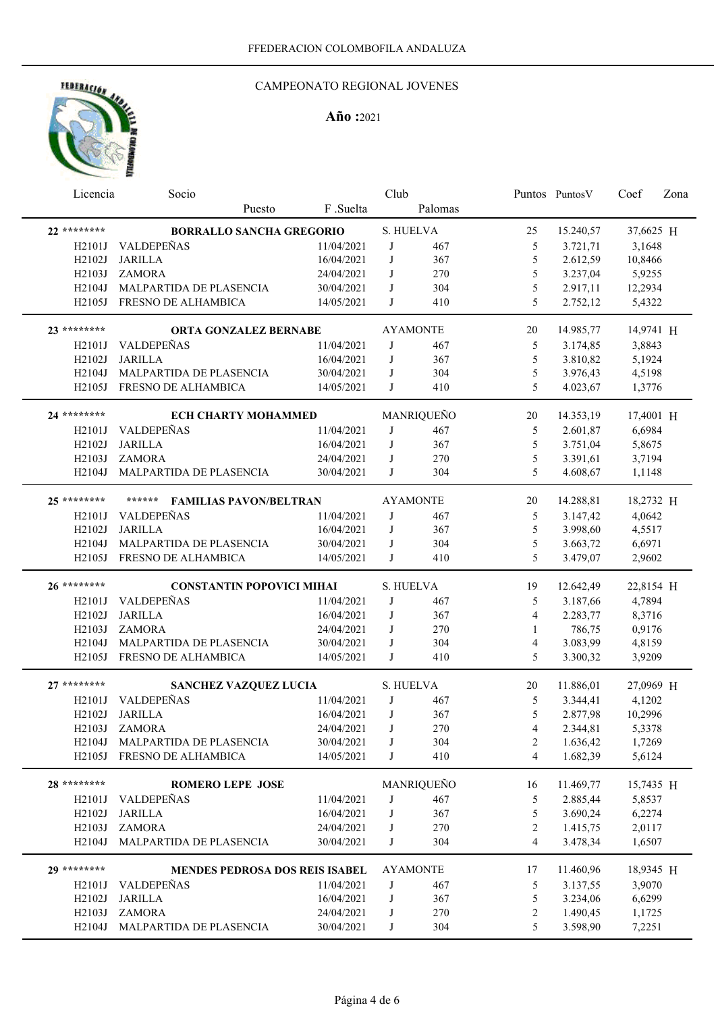### CAMPEONATO REGIONAL JOVENES

| Licencia            | Socio                                   |            | Club      |                 |                | Puntos Puntos V | Coef      | Zona |
|---------------------|-----------------------------------------|------------|-----------|-----------------|----------------|-----------------|-----------|------|
|                     | Puesto                                  | F .Suelta  |           | Palomas         |                |                 |           |      |
| 22 ********         | <b>BORRALLO SANCHA GREGORIO</b>         |            | S. HUELVA |                 | 25             | 15.240,57       | 37,6625 H |      |
| H <sub>2101J</sub>  | VALDEPEÑAS                              | 11/04/2021 | J         | 467             | 5              | 3.721,71        | 3,1648    |      |
| H2102J              | <b>JARILLA</b>                          | 16/04/2021 | J         | 367             | 5              | 2.612,59        | 10,8466   |      |
| H2103J              | <b>ZAMORA</b>                           | 24/04/2021 | J         | 270             | 5              | 3.237,04        | 5,9255    |      |
| H2104J              | MALPARTIDA DE PLASENCIA                 | 30/04/2021 | J         | 304             | 5              | 2.917,11        | 12,2934   |      |
| H2105J              | FRESNO DE ALHAMBICA                     | 14/05/2021 | J         | 410             | 5              | 2.752,12        | 5,4322    |      |
| 23 ********         | <b>ORTA GONZALEZ BERNABE</b>            |            |           | <b>AYAMONTE</b> | 20             | 14.985,77       | 14,9741 H |      |
| H <sub>2101J</sub>  | <b>VALDEPEÑAS</b>                       | 11/04/2021 | J         | 467             | 5              | 3.174,85        | 3,8843    |      |
| H2102J              | <b>JARILLA</b>                          | 16/04/2021 | J         | 367             | 5              | 3.810,82        | 5,1924    |      |
| H2104J              | MALPARTIDA DE PLASENCIA                 | 30/04/2021 | J         | 304             | 5              | 3.976,43        | 4,5198    |      |
| H2105J              | FRESNO DE ALHAMBICA                     | 14/05/2021 | J         | 410             | 5              | 4.023,67        | 1,3776    |      |
| 24 ********         | <b>ECH CHARTY MOHAMMED</b>              |            |           | MANRIQUEÑO      | 20             | 14.353,19       | 17,4001 H |      |
| H2101J              | VALDEPEÑAS                              | 11/04/2021 | J         | 467             | 5              | 2.601,87        | 6,6984    |      |
| H2102J              | <b>JARILLA</b>                          | 16/04/2021 | J         | 367             | $\mathfrak s$  | 3.751,04        | 5,8675    |      |
| H2103J              | ZAMORA                                  | 24/04/2021 | J         | 270             | 5              | 3.391,61        | 3,7194    |      |
| H <sub>2104J</sub>  | MALPARTIDA DE PLASENCIA                 | 30/04/2021 | J         | 304             | 5              | 4.608,67        | 1,1148    |      |
| 25 ********         | ******<br><b>FAMILIAS PAVON/BELTRAN</b> |            |           | <b>AYAMONTE</b> | 20             | 14.288,81       | 18,2732 H |      |
| H2101J              | VALDEPEÑAS                              | 11/04/2021 | J         | 467             | 5              | 3.147,42        | 4,0642    |      |
| H2102J              | <b>JARILLA</b>                          | 16/04/2021 | J         | 367             | 5              | 3.998,60        | 4,5517    |      |
| H2104J              | MALPARTIDA DE PLASENCIA                 | 30/04/2021 | J         | 304             | 5              | 3.663,72        | 6,6971    |      |
| H2105J              | FRESNO DE ALHAMBICA                     | 14/05/2021 | J         | 410             | 5              | 3.479,07        | 2,9602    |      |
| 26 ********         | <b>CONSTANTIN POPOVICI MIHAI</b>        |            | S. HUELVA |                 | 19             | 12.642,49       | 22,8154 H |      |
| H2101J              | <b>VALDEPEÑAS</b>                       | 11/04/2021 | J         | 467             | 5              | 3.187,66        | 4,7894    |      |
| H2102J              | <b>JARILLA</b>                          | 16/04/2021 | J         | 367             | $\overline{4}$ | 2.283,77        | 8,3716    |      |
| H2103J              | <b>ZAMORA</b>                           | 24/04/2021 | J         | 270             | 1              | 786,75          | 0,9176    |      |
| H2104J              | MALPARTIDA DE PLASENCIA                 | 30/04/2021 | J         | 304             | 4              | 3.083,99        | 4,8159    |      |
| H2105J              | FRESNO DE ALHAMBICA                     | 14/05/2021 | J         | 410             | 5              | 3.300,32        | 3,9209    |      |
| $27******$          | SANCHEZ VAZQUEZ LUCIA                   |            | S. HUELVA |                 | 20             | 11.886,01       | 27,0969 H |      |
| H2101J              | <b>VALDEPEÑAS</b>                       | 11/04/2021 | J         | 467             | 5              | 3.344,41        | 4,1202    |      |
| H2102J              | <b>JARILLA</b>                          | 16/04/2021 | J         | 367             | 5              | 2.877,98        | 10,2996   |      |
| H <sub>2</sub> 103J | <b>ZAMORA</b>                           | 24/04/2021 | J         | 270             | 4              | 2.344,81        | 5,3378    |      |
| H2104J              | MALPARTIDA DE PLASENCIA                 | 30/04/2021 | J         | 304             | 2              | 1.636,42        | 1,7269    |      |
| H2105J              | FRESNO DE ALHAMBICA                     | 14/05/2021 | J         | 410             | $\overline{4}$ | 1.682,39        | 5,6124    |      |
| 28 ********         | <b>ROMERO LEPE JOSE</b>                 |            |           | MANRIQUEÑO      | 16             | 11.469,77       | 15,7435 H |      |
| H2101J              | VALDEPEÑAS                              | 11/04/2021 | J         | 467             | 5              | 2.885,44        | 5,8537    |      |
| H2102J              | <b>JARILLA</b>                          | 16/04/2021 | J         | 367             | 5              | 3.690,24        | 6,2274    |      |
| H2103J              | <b>ZAMORA</b>                           | 24/04/2021 | J         | 270             | $\overline{c}$ | 1.415,75        | 2,0117    |      |
| H2104J              | MALPARTIDA DE PLASENCIA                 | 30/04/2021 | J         | 304             | $\overline{4}$ | 3.478,34        | 1,6507    |      |
| 29 ********         | <b>MENDES PEDROSA DOS REIS ISABEL</b>   |            |           | <b>AYAMONTE</b> | 17             | 11.460,96       | 18,9345 H |      |
| H2101J              | <b>VALDEPEÑAS</b>                       | 11/04/2021 | J         | 467             | 5              | 3.137,55        | 3,9070    |      |
| H2102J              | <b>JARILLA</b>                          | 16/04/2021 | J         | 367             | $\sqrt{5}$     | 3.234,06        | 6,6299    |      |
| H2103J              | ZAMORA                                  | 24/04/2021 | J         | 270             | $\overline{c}$ | 1.490,45        | 1,1725    |      |
|                     | H2104J MALPARTIDA DE PLASENCIA          | 30/04/2021 | J         | 304             | 5              | 3.598,90        | 7,2251    |      |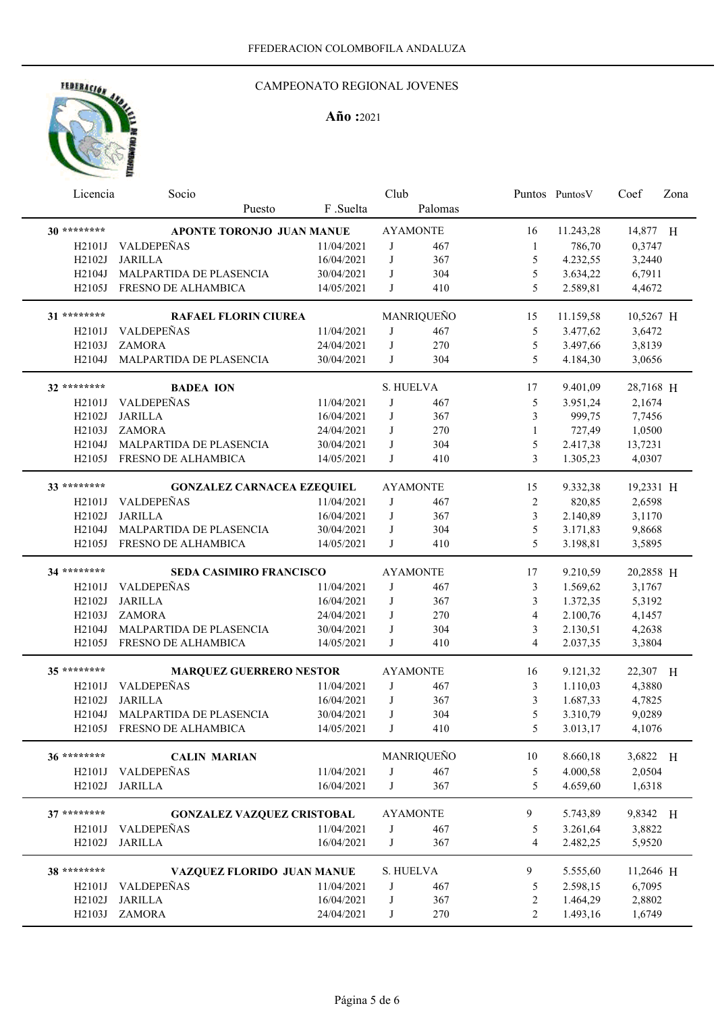### CAMPEONATO REGIONAL JOVENES

| Licencia            | Socio                                                  |                          | Club      |                 |                      | Puntos Puntos V    | Coef             | Zona |
|---------------------|--------------------------------------------------------|--------------------------|-----------|-----------------|----------------------|--------------------|------------------|------|
|                     | Puesto                                                 | F.Suelta                 |           | Palomas         |                      |                    |                  |      |
| 30 ********         | APONTE TORONJO JUAN MANUE                              |                          |           | <b>AYAMONTE</b> | 16                   | 11.243,28          | 14,877 H         |      |
| H2101J              | VALDEPEÑAS                                             | 11/04/2021               | J         | 467             | -1                   | 786,70             | 0,3747           |      |
| H2102J              | <b>JARILLA</b>                                         | 16/04/2021               | J         | 367             | 5                    | 4.232,55           | 3,2440           |      |
| H2104J              | MALPARTIDA DE PLASENCIA                                | 30/04/2021               | J         | 304             | 5                    | 3.634,22           | 6,7911           |      |
| H2105J              | FRESNO DE ALHAMBICA                                    | 14/05/2021               | J         | 410             | 5                    | 2.589,81           | 4,4672           |      |
|                     |                                                        |                          |           |                 |                      |                    |                  |      |
| 31 ********         | RAFAEL FLORIN CIUREA                                   |                          |           | MANRIQUEÑO      | 15                   | 11.159,58          | 10,5267 H        |      |
| H <sub>2</sub> 101J | VALDEPEÑAS                                             | 11/04/2021               | J         | 467             | 5                    | 3.477,62           | 3,6472           |      |
| H2103J              | <b>ZAMORA</b>                                          | 24/04/2021               | J         | 270             | 5                    | 3.497,66           | 3,8139           |      |
| H <sub>2104J</sub>  | MALPARTIDA DE PLASENCIA                                | 30/04/2021               | J         | 304             | 5                    | 4.184,30           | 3,0656           |      |
| 32 ********         | <b>BADEA ION</b>                                       |                          | S. HUELVA |                 | 17                   | 9.401,09           | 28,7168 H        |      |
| H2101J              | VALDEPEÑAS                                             | 11/04/2021               | J         | 467             | 5                    | 3.951,24           | 2,1674           |      |
| H2102J              | <b>JARILLA</b>                                         | 16/04/2021               | J         | 367             | 3                    | 999,75             | 7,7456           |      |
| H2103J              | <b>ZAMORA</b>                                          | 24/04/2021               | J         | 270             | 1                    | 727,49             | 1,0500           |      |
| H2104J              | MALPARTIDA DE PLASENCIA                                | 30/04/2021               | J         | 304             | 5                    | 2.417,38           | 13,7231          |      |
| H2105J              | FRESNO DE ALHAMBICA                                    | 14/05/2021               | J         | 410             | 3                    | 1.305,23           | 4,0307           |      |
| 33 ********         |                                                        |                          |           |                 |                      |                    |                  |      |
| H2101J              | <b>GONZALEZ CARNACEA EZEQUIEL</b><br><b>VALDEPEÑAS</b> | 11/04/2021               | J         | <b>AYAMONTE</b> | 15<br>$\overline{c}$ | 9.332,38<br>820,85 | 19,2331 H        |      |
| H2102J              | <b>JARILLA</b>                                         | 16/04/2021               | J         | 467<br>367      | 3                    | 2.140,89           | 2,6598<br>3,1170 |      |
| H2104J              | MALPARTIDA DE PLASENCIA                                | 30/04/2021               | J         | 304             | 5                    | 3.171,83           | 9,8668           |      |
| H2105J              | FRESNO DE ALHAMBICA                                    | 14/05/2021               | J         | 410             | 5                    | 3.198,81           | 3,5895           |      |
|                     |                                                        |                          |           |                 |                      |                    |                  |      |
| 34 ********         | <b>SEDA CASIMIRO FRANCISCO</b>                         |                          |           | <b>AYAMONTE</b> | 17                   | 9.210,59           | 20,2858 H        |      |
| H2101J              | <b>VALDEPEÑAS</b>                                      | 11/04/2021               | J         | 467             | 3                    | 1.569,62           | 3,1767           |      |
| H2102J              | <b>JARILLA</b>                                         | 16/04/2021               | J         | 367             | 3                    | 1.372,35           | 5,3192           |      |
| H2103J              | <b>ZAMORA</b>                                          | 24/04/2021               | J         | 270             | 4                    | 2.100,76           | 4,1457           |      |
| H2104J              | MALPARTIDA DE PLASENCIA                                | 30/04/2021               | J         | 304             | 3                    | 2.130,51           | 4,2638           |      |
| H2105J              | FRESNO DE ALHAMBICA                                    | 14/05/2021               | J         | 410             | 4                    | 2.037,35           | 3,3804           |      |
| 35 ********         | <b>MARQUEZ GUERRERO NESTOR</b>                         |                          |           | <b>AYAMONTE</b> | 16                   | 9.121,32           | 22,307 H         |      |
| H2101J              | VALDEPEÑAS                                             | 11/04/2021               | J         | 467             | 3                    | 1.110,03           | 4,3880           |      |
| H2102J              | <b>JARILLA</b>                                         | 16/04/2021               | J         | 367             | 3                    | 1.687,33           | 4,7825           |      |
| H2104J              | MALPARTIDA DE PLASENCIA                                | 30/04/2021               | J         | 304             | 5                    | 3.310,79           | 9,0289           |      |
|                     | H2105J FRESNO DE ALHAMBICA                             | 14/05/2021               | J         | 410             | 5                    | 3.013,17           | 4,1076           |      |
|                     |                                                        |                          |           |                 |                      |                    |                  |      |
| 36 ********         | <b>CALIN MARIAN</b>                                    |                          |           | MANRIQUEÑO      | 10                   | 8.660,18           | 3,6822 H         |      |
| H2101J              | VALDEPEÑAS                                             | 11/04/2021               | J         | 467             | 5                    | 4.000,58           | 2,0504           |      |
| H2102J              | <b>JARILLA</b>                                         | 16/04/2021               | J         | 367             | 5                    | 4.659,60           | 1,6318           |      |
| $37******$          | <b>GONZALEZ VAZQUEZ CRISTOBAL</b>                      |                          |           | <b>AYAMONTE</b> | 9                    | 5.743,89           | 9,8342 H         |      |
| H2101J              | VALDEPEÑAS                                             | 11/04/2021               | J         | 467             | 5                    | 3.261,64           | 3,8822           |      |
| H2102J              | <b>JARILLA</b>                                         | 16/04/2021               | J         | 367             | 4                    | 2.482,25           | 5,9520           |      |
| 38 *********        |                                                        |                          |           |                 |                      |                    |                  |      |
|                     | VAZQUEZ FLORIDO JUAN MANUE                             |                          | S. HUELVA |                 | 9                    | 5.555,60           | 11,2646 H        |      |
| H2101J              | VALDEPEÑAS                                             | 11/04/2021               | J         | 467             | 5                    | 2.598,15           | 6,7095           |      |
| H2102J              | <b>JARILLA</b>                                         | 16/04/2021<br>24/04/2021 | J<br>J    | 367<br>270      | $\overline{2}$       | 1.464,29           | 2,8802<br>1,6749 |      |
|                     | H2103J ZAMORA                                          |                          |           |                 | $\overline{c}$       | 1.493,16           |                  |      |